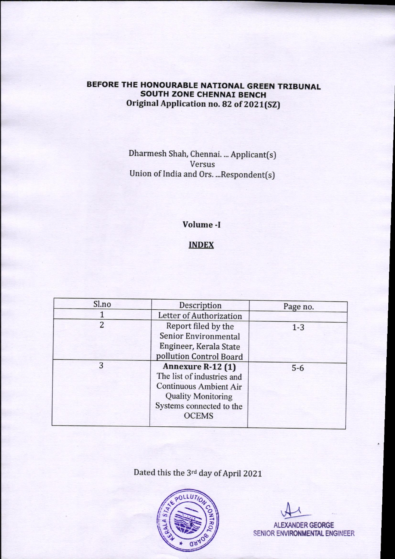# BEFORE THE HONOURABLE NATIONAL GREEN TRIBUNAL **SOUTH ZONE CHENNAI BENCH** Original Application no. 82 of 2021(SZ)

Dharmesh Shah, Chennai. ... Applicant(s) Versus Union of India and Ors. ... Respondent(s)

## Volume -I

### **INDEX**

| Sl.no | Description                   | Page no. |
|-------|-------------------------------|----------|
|       | Letter of Authorization       |          |
| 2     | Report filed by the           | $1 - 3$  |
|       | Senior Environmental          |          |
|       | Engineer, Kerala State        |          |
|       | pollution Control Board       |          |
| 3     | Annexure R-12 (1)             | $5-6$    |
|       | The list of industries and    |          |
|       | <b>Continuous Ambient Air</b> |          |
|       | <b>Quality Monitoring</b>     |          |
|       | Systems connected to the      |          |
|       | <b>OCEMS</b>                  |          |
|       |                               |          |

Dated this the 3rd day of April 2021



ALEXANDER GEORGE SENIOR ENVIRONMENTAL ENGINEER